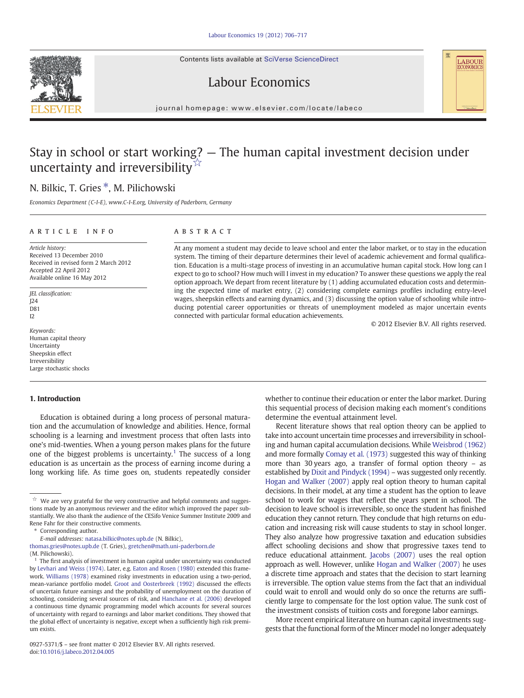Contents lists available at SciVerse ScienceDirect

Labour Economics





journal homepage: www.elsevier.com/locate/labeco

## Stay in school or start working? — The human capital investment decision under uncertainty and irreversibility<sup>☆</sup>

### N. Bilkic, T. Gries  $*$ , M. Pilichowski

Economics Department (C-I-E), www.C-I-E.org, University of Paderborn, Germany

### article info abstract

Article history: Received 13 December 2010 Received in revised form 2 March 2012 Accepted 22 April 2012 Available online 16 May 2012

JEL classification:  $I24$ D81  $12$ 

Keywords: Human capital theory Uncertainty Sheepskin effect Irreversibility Large stochastic shocks

### 1. Introduction

Education is obtained during a long process of personal maturation and the accumulation of knowledge and abilities. Hence, formal schooling is a learning and investment process that often lasts into one's mid‐twenties. When a young person makes plans for the future one of the biggest problems is uncertainty.<sup>1</sup> The success of a long education is as uncertain as the process of earning income during a long working life. As time goes on, students repeatedly consider

At any moment a student may decide to leave school and enter the labor market, or to stay in the education system. The timing of their departure determines their level of academic achievement and formal qualification. Education is a multi-stage process of investing in an accumulative human capital stock. How long can I expect to go to school? How much will I invest in my education? To answer these questions we apply the real option approach. We depart from recent literature by (1) adding accumulated education costs and determining the expected time of market entry, (2) considering complete earnings profiles including entry-level wages, sheepskin effects and earning dynamics, and (3) discussing the option value of schooling while introducing potential career opportunities or threats of unemployment modeled as major uncertain events connected with particular formal education achievements.

© 2012 Elsevier B.V. All rights reserved.

LABOUR<br>ECONOMICS

whether to continue their education or enter the labor market. During this sequential process of decision making each moment's conditions determine the eventual attainment level.

Recent literature shows that real option theory can be applied to take into account uncertain time processes and irreversibility in schooling and human capital accumulation decisions. While [Weisbrod \(1962\)](#page--1-0) and more formally [Comay et al. \(1973\)](#page--1-0) suggested this way of thinking more than 30 years ago, a transfer of formal option theory – as established by [Dixit and Pindyck \(1994\)](#page--1-0) – was suggested only recently. [Hogan and Walker \(2007\)](#page--1-0) apply real option theory to human capital decisions. In their model, at any time a student has the option to leave school to work for wages that reflect the years spent in school. The decision to leave school is irreversible, so once the student has finished education they cannot return. They conclude that high returns on education and increasing risk will cause students to stay in school longer. They also analyze how progressive taxation and education subsidies affect schooling decisions and show that progressive taxes tend to reduce educational attainment. [Jacobs \(2007\)](#page--1-0) uses the real option approach as well. However, unlike [Hogan and Walker \(2007\)](#page--1-0) he uses a discrete time approach and states that the decision to start learning is irreversible. The option value stems from the fact that an individual could wait to enroll and would only do so once the returns are sufficiently large to compensate for the lost option value. The sunk cost of the investment consists of tuition costs and foregone labor earnings.

More recent empirical literature on human capital investments suggests that the functional form of the Mincer model no longer adequately

 $\overrightarrow{a}$  We are very grateful for the very constructive and helpful comments and suggestions made by an anonymous reviewer and the editor which improved the paper substantially. We also thank the audience of the CESifo Venice Summer Institute 2009 and Rene Fahr for their constructive comments.

<sup>⁎</sup> Corresponding author.

E-mail addresses: [natasa.bilkic@notes.upb.de](mailto:natasa.bilkic@notes.upb.de) (N. Bilkic),

[thomas.gries@notes.upb.de](mailto:thomas.gries@notes.upb.de) (T. Gries), [gretchen@math.uni-paderborn.de](mailto:gretchen@math.uni-paderborn.de)

<sup>(</sup>M. Pilichowski).

 $1$  The first analysis of investment in human capital under uncertainty was conducted by [Levhari and Weiss \(1974\)](#page--1-0). Later, e.g. [Eaton and Rosen \(1980\)](#page--1-0) extended this framework. [Williams \(1978\)](#page--1-0) examined risky investments in education using a two-period, mean-variance portfolio model. [Groot and Oosterbreek \(1992\)](#page--1-0) discussed the effects of uncertain future earnings and the probability of unemployment on the duration of schooling, considering several sources of risk, and [Hanchane et al. \(2006\)](#page--1-0) developed a continuous time dynamic programming model which accounts for several sources of uncertainty with regard to earnings and labor market conditions. They showed that the global effect of uncertainty is negative, except when a sufficiently high risk premium exists.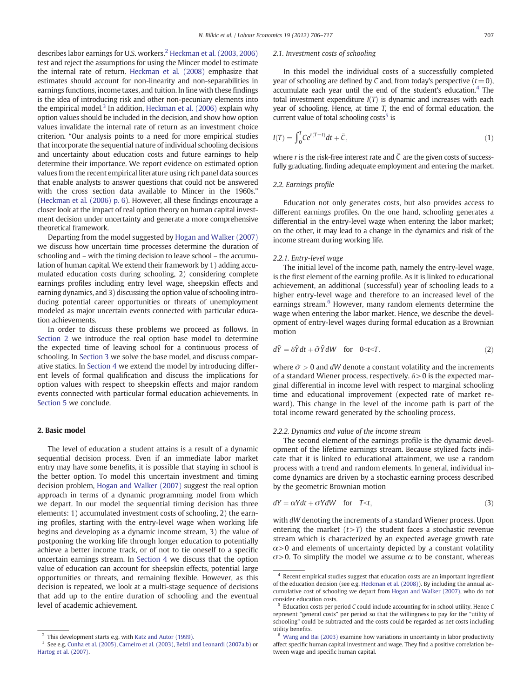describes labor earnings for U.S. workers.<sup>2</sup> [Heckman et al. \(2003, 2006\)](#page--1-0) test and reject the assumptions for using the Mincer model to estimate the internal rate of return. [Heckman et al. \(2008\)](#page--1-0) emphasize that estimates should account for non-linearity and non-separabilities in earnings functions, income taxes, and tuition. In line with these findings is the idea of introducing risk and other non-pecuniary elements into the empirical model.<sup>3</sup> In addition, [Heckman et al. \(2006\)](#page--1-0) explain why option values should be included in the decision, and show how option values invalidate the internal rate of return as an investment choice criterion. "Our analysis points to a need for more empirical studies that incorporate the sequential nature of individual schooling decisions and uncertainty about education costs and future earnings to help determine their importance. We report evidence on estimated option values from the recent empirical literature using rich panel data sources that enable analysts to answer questions that could not be answered with the cross section data available to Mincer in the 1960s." [\(Heckman et al. \(2006\) p. 6](#page--1-0)). However, all these findings encourage a closer look at the impact of real option theory on human capital investment decision under uncertainty and generate a more comprehensive theoretical framework.

Departing from the model suggested by [Hogan and Walker \(2007\)](#page--1-0) we discuss how uncertain time processes determine the duration of schooling and – with the timing decision to leave school – the accumulation of human capital. We extend their framework by 1) adding accumulated education costs during schooling, 2) considering complete earnings profiles including entry level wage, sheepskin effects and earning dynamics, and 3) discussing the option value of schooling introducing potential career opportunities or threats of unemployment modeled as major uncertain events connected with particular education achievements.

In order to discuss these problems we proceed as follows. In Section 2 we introduce the real option base model to determine the expected time of leaving school for a continuous process of schooling. In [Section 3](#page--1-0) we solve the base model, and discuss comparative statics. In [Section 4](#page--1-0) we extend the model by introducing different levels of formal qualification and discuss the implications for option values with respect to sheepskin effects and major random events connected with particular formal education achievements. In [Section 5](#page--1-0) we conclude.

#### 2. Basic model

The level of education a student attains is a result of a dynamic sequential decision process. Even if an immediate labor market entry may have some benefits, it is possible that staying in school is the better option. To model this uncertain investment and timing decision problem, [Hogan and Walker \(2007\)](#page--1-0) suggest the real option approach in terms of a dynamic programming model from which we depart. In our model the sequential timing decision has three elements: 1) accumulated investment costs of schooling, 2) the earning profiles, starting with the entry-level wage when working life begins and developing as a dynamic income stream, 3) the value of postponing the working life through longer education to potentially achieve a better income track, or of not to tie oneself to a specific uncertain earnings stream. In [Section 4](#page--1-0) we discuss that the option value of education can account for sheepskin effects, potential large opportunities or threats, and remaining flexible. However, as this decision is repeated, we look at a multi-stage sequence of decisions that add up to the entire duration of schooling and the eventual level of academic achievement.

#### 2.1. Investment costs of schooling

In this model the individual costs of a successfully completed year of schooling are defined by C and, from today's perspective  $(t=0)$ , accumulate each year until the end of the student's education. $4$  The total investment expenditure  $I(T)$  is dynamic and increases with each year of schooling. Hence, at time  $T$ , the end of formal education, the current value of total schooling costs<sup>5</sup> is

$$
I(T) = \int_0^T Ce^{r(T-t)}dt + \bar{C},\qquad(1)
$$

where  $r$  is the risk-free interest rate and  $\bar{C}$  are the given costs of successfully graduating, finding adequate employment and entering the market.

#### 2.2. Earnings profile

Education not only generates costs, but also provides access to different earnings profiles. On the one hand, schooling generates a differential in the entry-level wage when entering the labor market; on the other, it may lead to a change in the dynamics and risk of the income stream during working life.

#### 2.2.1. Entry-level wage

The initial level of the income path, namely the entry-level wage, is the first element of the earning profile. As it is linked to educational achievement, an additional (successful) year of schooling leads to a higher entry-level wage and therefore to an increased level of the earnings stream.<sup>6</sup> However, many random elements determine the wage when entering the labor market. Hence, we describe the development of entry-level wages during formal education as a Brownian motion

$$
d\tilde{Y} = \delta \tilde{Y} dt + \tilde{\sigma} \tilde{Y} dW \quad \text{for} \quad 0 < t < T. \tag{2}
$$

where  $\tilde{\sigma} > 0$  and dW denote a constant volatility and the increments of a standard Wiener process, respectively.  $\delta$  > 0 is the expected marginal differential in income level with respect to marginal schooling time and educational improvement (expected rate of market reward). This change in the level of the income path is part of the total income reward generated by the schooling process.

#### 2.2.2. Dynamics and value of the income stream

The second element of the earnings profile is the dynamic development of the lifetime earnings stream. Because stylized facts indicate that it is linked to educational attainment, we use a random process with a trend and random elements. In general, individual income dynamics are driven by a stochastic earning process described by the geometric Brownian motion

$$
dY = \alpha Ydt + \sigma YdW \quad \text{for} \quad T < t,\tag{3}
$$

with dW denoting the increments of a standard Wiener process. Upon entering the market  $(t>T)$  the student faces a stochastic revenue stream which is characterized by an expected average growth rate  $\alpha$  > 0 and elements of uncertainty depicted by a constant volatility  $σ$  0. To simplify the model we assume  $α$  to be constant, whereas

 $2$  This development starts e.g. with [Katz and Autor \(1999\).](#page--1-0)

<sup>&</sup>lt;sup>3</sup> See e.g. [Cunha et al. \(2005\)](#page--1-0), [Carneiro et al. \(2003\)](#page--1-0), [Belzil and Leonardi \(2007a,b\)](#page--1-0) or [Hartog et al. \(2007\).](#page--1-0)

<sup>4</sup> Recent empirical studies suggest that education costs are an important ingredient of the education decision (see e.g. [Heckman et al. \(2008\)\)](#page--1-0). By including the annual accumulative cost of schooling we depart from [Hogan and Walker \(2007\)](#page--1-0), who do not consider education costs.

<sup>5</sup> Education costs per period C could include accounting for in school utility. Hence C represent "general costs" per period so that the willingness to pay for the "utility of schooling" could be subtracted and the costs could be regarded as net costs including utility benefits.

<sup>6</sup> [Wang and Bai \(2003\)](#page--1-0) examine how variations in uncertainty in labor productivity affect specific human capital investment and wage. They find a positive correlation between wage and specific human capital.